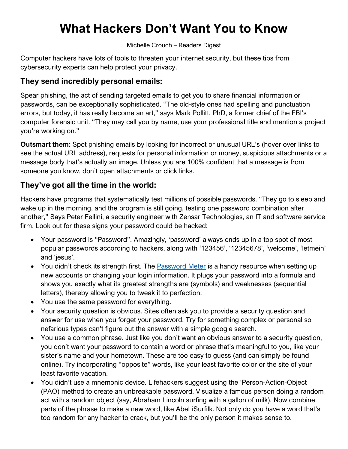# **What Hackers Don't Want You to Know**

Michelle Crouch – Readers Digest

Computer hackers have lots of tools to threaten your internet security, but these tips from cybersecurity experts can help protect your privacy.

# **They send incredibly personal emails:**

Spear phishing, the act of sending targeted emails to get you to share financial information or passwords, can be exceptionally sophisticated. "The old-style ones had spelling and punctuation errors, but today, it has really become an art," says Mark Pollitt, PhD, a former chief of the FBI's computer forensic unit. "They may call you by name, use your professional title and mention a project you're working on."

**Outsmart them:** Spot phishing emails by looking for incorrect or unusual URL's (hover over links to see the actual URL address), requests for personal information or money, suspicious attachments or a message body that's actually an image. Unless you are 100% confident that a message is from someone you know, don't open attachments or click links.

## **They've got all the time in the world:**

Hackers have programs that systematically test millions of possible passwords. "They go to sleep and wake up in the morning, and the program is still going, testing one password combination after another," Says Peter Fellini, a security engineer with Zensar Technologies, an IT and software service firm. Look out for these signs your password could be hacked:

- Your password is "Password". Amazingly, 'password' always ends up in a top spot of most popular passwords according to hackers, along with '123456', '12345678', 'welcome', 'letmein' and 'jesus'.
- You didn't check its strength first. The [Password Meter](http://www.passwordmeter.com/) is a handy resource when setting up new accounts or changing your login information. It plugs your password into a formula and shows you exactly what its greatest strengths are (symbols) and weaknesses (sequential letters), thereby allowing you to tweak it to perfection.
- You use the same password for everything.
- Your security question is obvious. Sites often ask you to provide a security question and answer for use when you forget your password. Try for something complex or personal so nefarious types can't figure out the answer with a simple google search.
- You use a common phrase. Just like you don't want an obvious answer to a security question, you don't want your password to contain a word or phrase that's meaningful to you, like your sister's name and your hometown. These are too easy to guess (and can simply be found online). Try incorporating "opposite" words, like your least favorite color or the site of your least favorite vacation.
- You didn't use a mnemonic device. Lifehackers suggest using the 'Person-Action-Object (PAO) method to create an unbreakable password. Visualize a famous person doing a random act with a random object (say, Abraham Lincoln surfing with a gallon of milk). Now combine parts of the phrase to make a new word, like AbeLiSurfilk. Not only do you have a word that's too random for any hacker to crack, but you'll be the only person it makes sense to.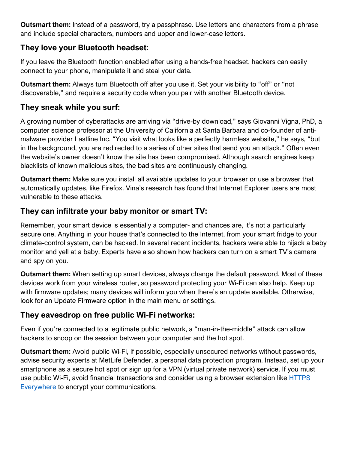**Outsmart them:** Instead of a password, try a passphrase. Use letters and characters from a phrase and include special characters, numbers and upper and lower-case letters.

## **They love your Bluetooth headset:**

If you leave the Bluetooth function enabled after using a hands-free headset, hackers can easily connect to your phone, manipulate it and steal your data.

**Outsmart them:** Always turn Bluetooth off after you use it. Set your visibility to "off" or "not discoverable," and require a security code when you pair with another Bluetooth device.

## **They sneak while you surf:**

A growing number of cyberattacks are arriving via "drive-by download," says Giovanni Vigna, PhD, a computer science professor at the University of California at Santa Barbara and co-founder of antimalware provider Lastline Inc. "You visit what looks like a perfectly harmless website," he says, "but in the background, you are redirected to a series of other sites that send you an attack." Often even the website's owner doesn't know the site has been compromised. Although search engines keep blacklists of known malicious sites, the bad sites are continuously changing.

**Outsmart them:** Make sure you install all available updates to your browser or use a browser that automatically updates, like Firefox. Vina's research has found that Internet Explorer users are most vulnerable to these attacks.

# **They can infiltrate your baby monitor or smart TV:**

Remember, your smart device is essentially a computer- and chances are, it's not a particularly secure one. Anything in your house that's connected to the Internet, from your smart fridge to your climate-control system, can be hacked. In several recent incidents, hackers were able to hijack a baby monitor and yell at a baby. Experts have also shown how hackers can turn on a smart TV's camera and spy on you.

**Outsmart them:** When setting up smart devices, always change the default password. Most of these devices work from your wireless router, so password protecting your Wi-Fi can also help. Keep up with firmware updates; many devices will inform you when there's an update available. Otherwise, look for an Update Firmware option in the main menu or settings.

# **They eavesdrop on free public Wi-Fi networks:**

Even if you're connected to a legitimate public network, a "man-in-the-middle" attack can allow hackers to snoop on the session between your computer and the hot spot.

**Outsmart them:** Avoid public Wi-Fi, if possible, especially unsecured networks without passwords, advise security experts at MetLife Defender, a personal data protection program. Instead, set up your smartphone as a secure hot spot or sign up for a VPN (virtual private network) service. If you must use public Wi-Fi, avoid financial transactions and consider using a browser extension like [HTTPS](https://www.eff.org/https-everywhere)  [Everywhere](https://www.eff.org/https-everywhere) to encrypt your communications.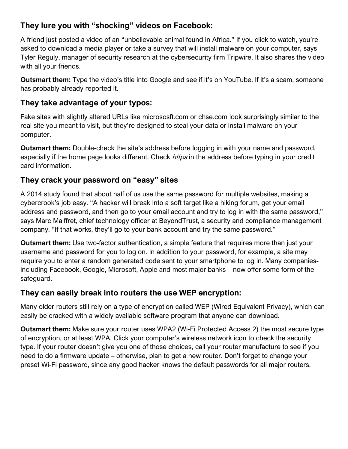# **They lure you with "shocking" videos on Facebook:**

A friend just posted a video of an "unbelievable animal found in Africa." If you click to watch, you're asked to download a media player or take a survey that will install malware on your computer, says Tyler Reguly, manager of security research at the cybersecurity firm Tripwire. It also shares the video with all your friends.

**Outsmart them:** Type the video's title into Google and see if it's on YouTube. If it's a scam, someone has probably already reported it.

#### **They take advantage of your typos:**

Fake sites with slightly altered URLs like micrososft.com or chse.com look surprisingly similar to the real site you meant to visit, but they're designed to steal your data or install malware on your computer.

**Outsmart them:** Double-check the site's address before logging in with your name and password, especially if the home page looks different. Check *https* in the address before typing in your credit card information.

## **They crack your password on "easy" sites**

A 2014 study found that about half of us use the same password for multiple websites, making a cybercrook's job easy. "A hacker will break into a soft target like a hiking forum, get your email address and password, and then go to your email account and try to log in with the same password," says Marc Maiffret, chief technology officer at BeyondTrust, a security and compliance management company. "If that works, they'll go to your bank account and try the same password."

**Outsmart them:** Use two-factor authentication, a simple feature that requires more than just your username and password for you to log on. In addition to your password, for example, a site may require you to enter a random generated code sent to your smartphone to log in. Many companiesincluding Facebook, Google, Microsoft, Apple and most major banks – now offer some form of the safeguard.

#### **They can easily break into routers the use WEP encryption:**

Many older routers still rely on a type of encryption called WEP (Wired Equivalent Privacy), which can easily be cracked with a widely available software program that anyone can download.

**Outsmart them:** Make sure your router uses WPA2 (Wi-Fi Protected Access 2) the most secure type of encryption, or at least WPA. Click your computer's wireless network icon to check the security type. If your router doesn't give you one of those choices, call your router manufacture to see if you need to do a firmware update – otherwise, plan to get a new router. Don't forget to change your preset Wi-Fi password, since any good hacker knows the default passwords for all major routers.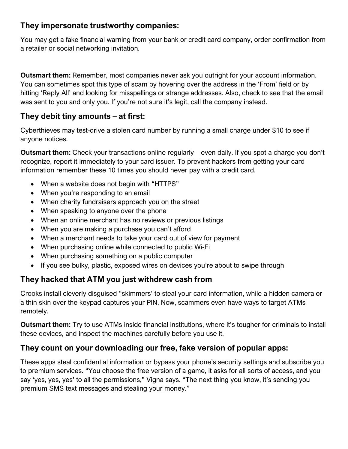## **They impersonate trustworthy companies:**

You may get a fake financial warning from your bank or credit card company, order confirmation from a retailer or social networking invitation.

**Outsmart them:** Remember, most companies never ask you outright for your account information. You can sometimes spot this type of scam by hovering over the address in the 'From' field or by hitting 'Reply All' and looking for misspellings or strange addresses. Also, check to see that the email was sent to you and only you. If you're not sure it's legit, call the company instead.

# **They debit tiny amounts – at first:**

Cyberthieves may test-drive a stolen card number by running a small charge under \$10 to see if anyone notices.

**Outsmart them:** Check your transactions online regularly – even daily. If you spot a charge you don't recognize, report it immediately to your card issuer. To prevent hackers from getting your card information remember these 10 times you should never pay with a credit card.

- When a website does not begin with "HTTPS"
- When you're responding to an email
- When charity fundraisers approach you on the street
- When speaking to anyone over the phone
- When an online merchant has no reviews or previous listings
- When you are making a purchase you can't afford
- When a merchant needs to take your card out of view for payment
- When purchasing online while connected to public Wi-Fi
- When purchasing something on a public computer
- If you see bulky, plastic, exposed wires on devices you're about to swipe through

# **They hacked that ATM you just withdrew cash from**

Crooks install cleverly disguised "skimmers' to steal your card information, while a hidden camera or a thin skin over the keypad captures your PIN. Now, scammers even have ways to target ATMs remotely.

**Outsmart them:** Try to use ATMs inside financial institutions, where it's tougher for criminals to install these devices, and inspect the machines carefully before you use it.

# **They count on your downloading our free, fake version of popular apps:**

These apps steal confidential information or bypass your phone's security settings and subscribe you to premium services. "You choose the free version of a game, it asks for all sorts of access, and you say 'yes, yes, yes' to all the permissions," Vigna says. "The next thing you know, it's sending you premium SMS text messages and stealing your money."